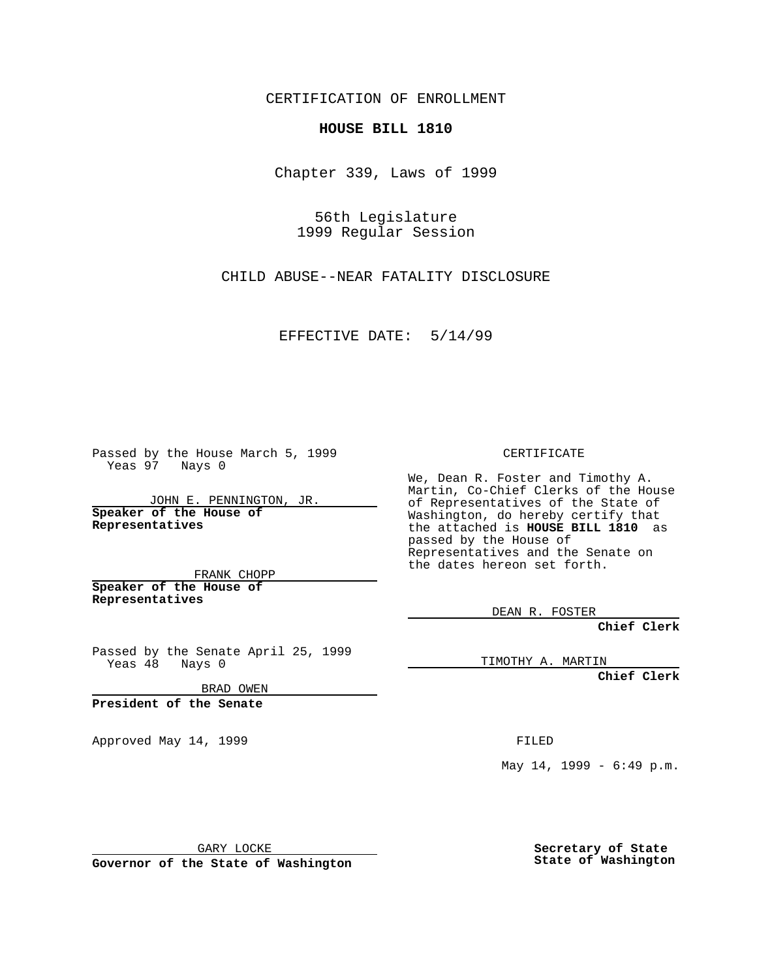CERTIFICATION OF ENROLLMENT

## **HOUSE BILL 1810**

Chapter 339, Laws of 1999

56th Legislature 1999 Regular Session

CHILD ABUSE--NEAR FATALITY DISCLOSURE

EFFECTIVE DATE: 5/14/99

Passed by the House March 5, 1999 Yeas 97 Nays 0

JOHN E. PENNINGTON, JR. **Speaker of the House of Representatives**

FRANK CHOPP **Speaker of the House of Representatives**

Passed by the Senate April 25, 1999 Yeas 48 Nays 0

BRAD OWEN

**President of the Senate**

Approved May 14, 1999 **FILED** 

CERTIFICATE

We, Dean R. Foster and Timothy A. Martin, Co-Chief Clerks of the House of Representatives of the State of Washington, do hereby certify that the attached is **HOUSE BILL 1810** as passed by the House of Representatives and the Senate on the dates hereon set forth.

DEAN R. FOSTER

**Chief Clerk**

TIMOTHY A. MARTIN

**Chief Clerk**

May 14, 1999 - 6:49 p.m.

GARY LOCKE

**Governor of the State of Washington**

**Secretary of State State of Washington**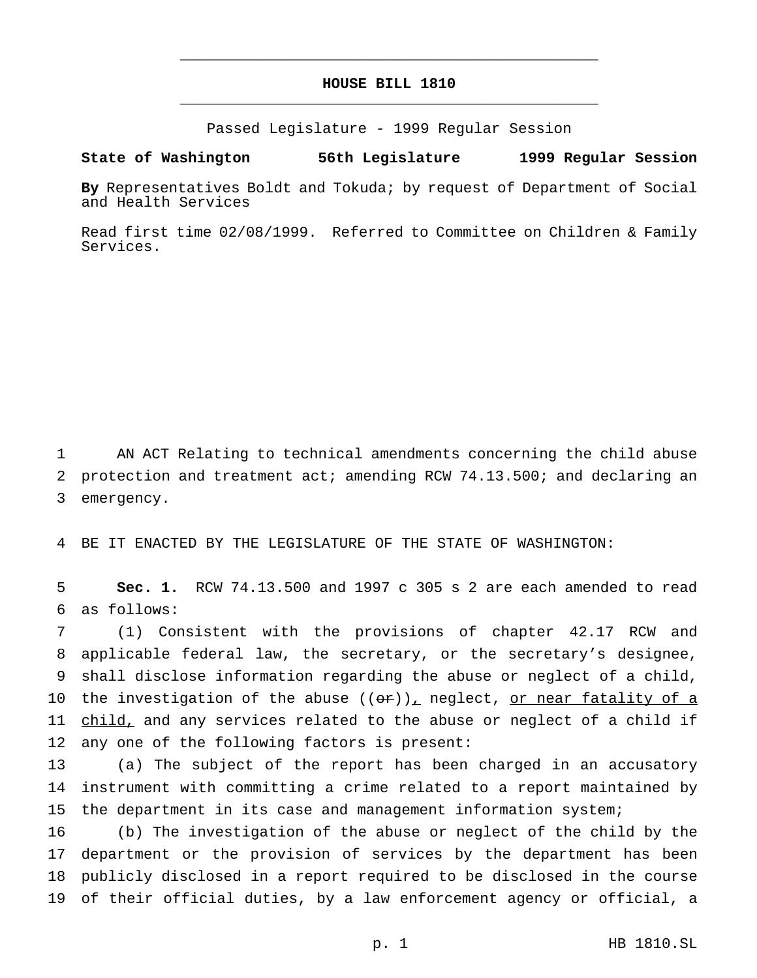## **HOUSE BILL 1810** \_\_\_\_\_\_\_\_\_\_\_\_\_\_\_\_\_\_\_\_\_\_\_\_\_\_\_\_\_\_\_\_\_\_\_\_\_\_\_\_\_\_\_\_\_\_\_

\_\_\_\_\_\_\_\_\_\_\_\_\_\_\_\_\_\_\_\_\_\_\_\_\_\_\_\_\_\_\_\_\_\_\_\_\_\_\_\_\_\_\_\_\_\_\_

Passed Legislature - 1999 Regular Session

## **State of Washington 56th Legislature 1999 Regular Session**

**By** Representatives Boldt and Tokuda; by request of Department of Social and Health Services

Read first time 02/08/1999. Referred to Committee on Children & Family Services.

 AN ACT Relating to technical amendments concerning the child abuse protection and treatment act; amending RCW 74.13.500; and declaring an emergency.

BE IT ENACTED BY THE LEGISLATURE OF THE STATE OF WASHINGTON:

 **Sec. 1.** RCW 74.13.500 and 1997 c 305 s 2 are each amended to read as follows:

 (1) Consistent with the provisions of chapter 42.17 RCW and applicable federal law, the secretary, or the secretary's designee, shall disclose information regarding the abuse or neglect of a child, 10 the investigation of the abuse  $((or))_+$  neglect, or near fatality of a child, and any services related to the abuse or neglect of a child if any one of the following factors is present:

 (a) The subject of the report has been charged in an accusatory instrument with committing a crime related to a report maintained by the department in its case and management information system;

 (b) The investigation of the abuse or neglect of the child by the department or the provision of services by the department has been publicly disclosed in a report required to be disclosed in the course of their official duties, by a law enforcement agency or official, a